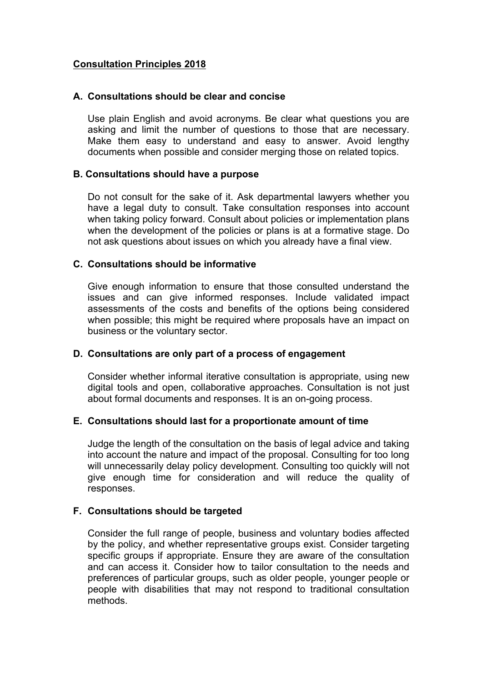# **Consultation Principles 2018**

### **A. Consultations should be clear and concise**

Use plain English and avoid acronyms. Be clear what questions you are asking and limit the number of questions to those that are necessary. Make them easy to understand and easy to answer. Avoid lengthy documents when possible and consider merging those on related topics.

### **B. Consultations should have a purpose**

Do not consult for the sake of it. Ask departmental lawyers whether you have a legal duty to consult. Take consultation responses into account when taking policy forward. Consult about policies or implementation plans when the development of the policies or plans is at a formative stage. Do not ask questions about issues on which you already have a final view.

# **C. Consultations should be informative**

Give enough information to ensure that those consulted understand the issues and can give informed responses. Include validated impact assessments of the costs and benefits of the options being considered when possible; this might be required where proposals have an impact on business or the voluntary sector.

# **D. Consultations are only part of a process of engagement**

Consider whether informal iterative consultation is appropriate, using new digital tools and open, collaborative approaches. Consultation is not just about formal documents and responses. It is an on-going process.

# **E. Consultations should last for a proportionate amount of time**

Judge the length of the consultation on the basis of legal advice and taking into account the nature and impact of the proposal. Consulting for too long will unnecessarily delay policy development. Consulting too quickly will not give enough time for consideration and will reduce the quality of responses.

# **F. Consultations should be targeted**

Consider the full range of people, business and voluntary bodies affected by the policy, and whether representative groups exist. Consider targeting specific groups if appropriate. Ensure they are aware of the consultation and can access it. Consider how to tailor consultation to the needs and preferences of particular groups, such as older people, younger people or people with disabilities that may not respond to traditional consultation methods.